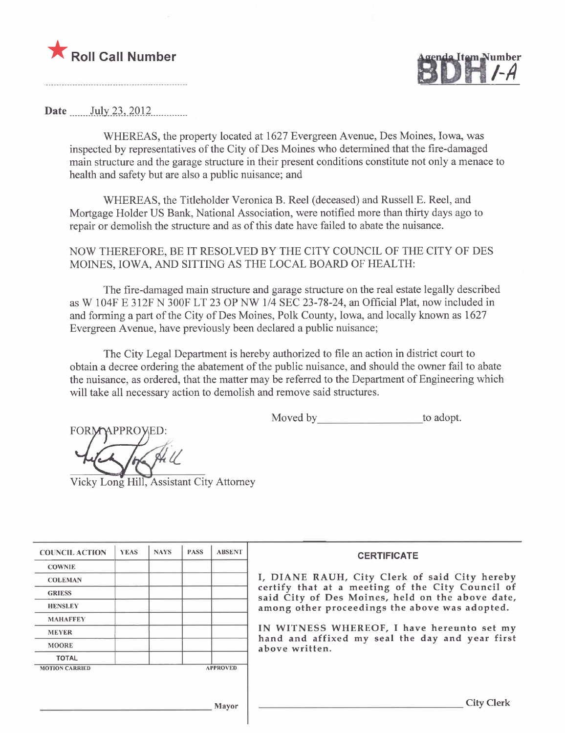



Date July 23,  $2012$ 

WHEREAS, the property located at 1627 Evergreen Avenue, Des Moines, Iowa, was inspected by representatives of the City of Des Moines who determined that the fire-damaged main structure and the garage structure in their present conditions constitute not only a menace to health and safety but are also a public nuisance; and

WHEREAS, the Titleholder Veronica B. Reel (deceased) and Russell E. Reel, and Mortgage Holder US Bank, National Association, were notified more than thirty days ago to repair or demolish the structure and as of this date have failed to abate the nuisance.

NOW THEREFORE, BE IT RESOLVED BY THE CITY COUNCIL OF THE CITY OF DES MOINES, IOWA, AND SITTING AS THE LOCAL BOARD OF HEALTH:

The fire-damaged main structure and garage structure on the real estate legally described as W 104F E 312F N 300F LT 23 OP NW 1/4 SEC 23-78-24, an Official Plat, now included in and forming a part of the City of Des Moines, Polk County, Iowa, and locally known as 1627 Evergreen Avenue, have previously been declared a public nuisance;

The City Legal Department is hereby authorized to fie an action in district court to obtain a decree ordering the abatement of the public nuisance, and should the owner fail to abate the nuisance, as ordered, that the matter may be referred to the Department of Engineering which will take all necessary action to demolish and remove said structures.

Moved by to adopt. FilPR~

Vicky Long Hill, Assistant City Attorney

| <b>COUNCIL ACTION</b> | <b>YEAS</b> | <b>NAYS</b> | <b>PASS</b> | <b>ABSENT</b>   | <b>CERTIFICATE</b>                                                                                   |
|-----------------------|-------------|-------------|-------------|-----------------|------------------------------------------------------------------------------------------------------|
| <b>COWNIE</b>         |             |             |             |                 |                                                                                                      |
| <b>COLEMAN</b>        |             |             |             |                 | I, DIANE RAUH, City Clerk of said City hereby                                                        |
| <b>GRIESS</b>         |             |             |             |                 | certify that at a meeting of the City Council of<br>said City of Des Moines, held on the above date, |
| <b>HENSLEY</b>        |             |             |             |                 | among other proceedings the above was adopted.                                                       |
| <b>MAHAFFEY</b>       |             |             |             |                 |                                                                                                      |
| <b>MEYER</b>          |             |             |             |                 | IN WITNESS WHEREOF, I have hereunto set my<br>hand and affixed my seal the day and year first        |
| <b>MOORE</b>          |             |             |             |                 | above written.                                                                                       |
| <b>TOTAL</b>          |             |             |             |                 |                                                                                                      |
| <b>MOTION CARRIED</b> |             |             |             | <b>APPROVED</b> |                                                                                                      |
|                       |             |             |             |                 |                                                                                                      |
|                       |             |             |             | <b>Mayor</b>    | <b>City Clerk</b>                                                                                    |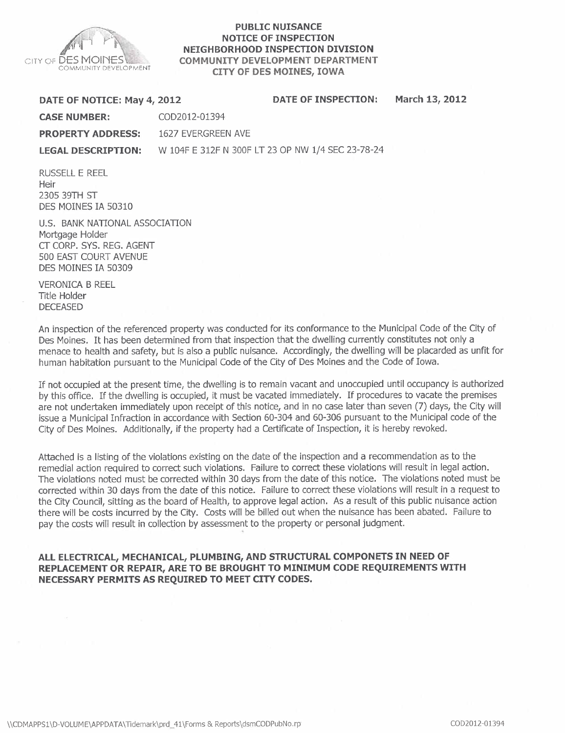

#### PUBLIC NUISANCE NOTICE OF INSPECTION NEIGHBORHOOD INSPECTION DIVISION COMMUNITY DEVELOPMENT DEPARTMENT CITY OF DES MOINES, IOWA

DATE OF NOTICE: May 4,2012 DATE OF INSPECTION: March 13, 2012

CASE NUMBER: COD2012-01394

PROPERTY ADDRESS: 1627 EVERGREEN AVE

LEGAL DESCRIPTION: W 104F E 312F N 300F LT 23 OP NW 1/4 SEC 23-78-24

RUSSELL E REEL **Heir** 2305 39TH ST DES MOINES IA 50310

U.S. BANK NATIONAL ASSOCIATION Mortgage Holder CT CORP. SYS. REG. AGENT 500 EAST COURT AVENUE DES MOINES IA 50309

VERONICA B REEL Title Holder DECEASED

An inspection of the referenced property was conducted for its conformance to the Municipal Code of the City of Des Moines. It has been determined from that inspection that the dwelling currently constitutes not only a menace to health and safety, but is also a public nuisance. Accordingly, the dwelling will be placarded as unfit for human habitation pursuant to the Municipal Code of the City of Des Moines and the Code of Iowa.

If not occupied at the present time, the dwelling is to remain vacant and unoccupied until occupancy is authorized by this office. If the dwelling is occupied, it must be vacated immediately. If procedures to vacate the premises are not undertaken immediately upon receipt of this notice, and in no case later than seven (7) days, the City will issue a Municipal Infraction in accordance with Section 60-304 and 60-306 pursuant to the Municipal code of the City of Des Moines. Additionally, if the property had a Certificate of Inspection, it is hereby revoked.

Attached is a listing of the violations existing on the date of the inspection and a recommendation as to the remedial action required to correct such violations. Failure to correct these violations will result in legal action. The violations noted must be corrected within 30 days from the date of this notice. The violations noted must be corrected within 30 days from the date of this notice. Failure to correct these violations will result in a request to the City Council, sitting as the board of Health, to approve legal action. As a result of this public nuisance action there will be costs incurred by the City. Costs will be billed out when the nuisance has been abated. Failure to pay the costs will result in collection by assessment to the property or personal judgment. ,

#### ALL ELECTRICAL, MECHANICAL, PLUMBING, AND STRUCTURAL COMPONETS IN NEED OF REPLACEMENT OR REPAIR, ARE TO BE BROUGHT TO MINIMUM CODE REQUIREMENTS WITH NECESSARY PERMITS AS REQUIRED TO MEET CITY CODES.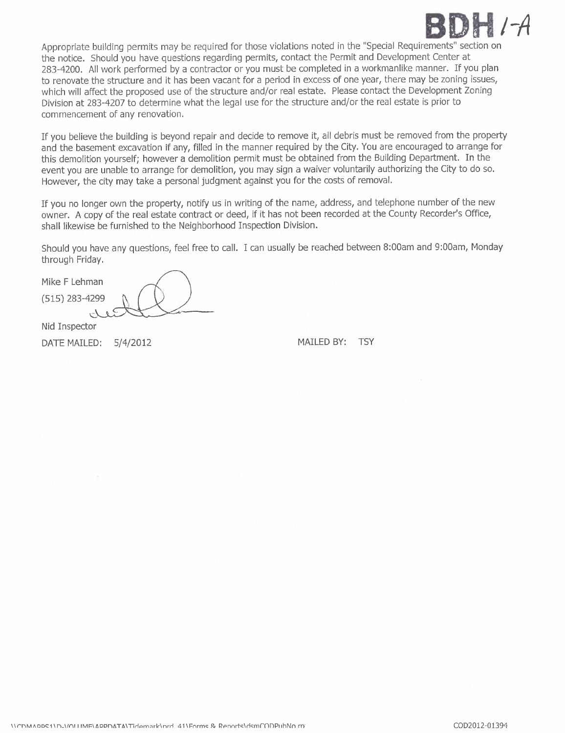# **BDH /-A**

Appropriate building permits may be required for those violations noted in the "Special Requirements" section on the notice. Should you have questions regarding permits, contact the Permit and Development Center at 283-4200. All work performed by a contractor or you must be completed in a workmanlike manner. If you plan to renovate the structure and it has been vacant for a period in excess of one year, there may be zoning issues, which will affect the proposed use of the structure and/or real estate. Please contact the Development Zoning Division at 283-4207 to determine what the legal use for the structure and/or the real estate is prior to commencement of any renovation.

If you believe the building is beyond repair and decide to remove it, all debris must be removed from the property and the basement excavation if any, filled in the manner required by the City. You are encouraged to arrange for this demolition yourself; however a demolition permit must be obtained from the Building Department. In the event you are unable to arrange for demolition, you may sign a waiver voluntarily authorizing the City to do so. However, the city may take a personal judgment against you for the costs of removal.

If you no longer own the property, notify us in writing of the name, address, and telephone number of the new owner. A copy of the real estate contract or deed, if it has not been recorded at the County Recorder's Office, shall likewise be furnished to the Neighborhood Inspection Division.

Should you have any questions, feel free to call. I can usually be reached between 8:00am and 9:00am, Monday through Friday.

Mike F Lehman (515) 283-4299

Nid Inspector

DATE MAILED:  $5/4/2012$  MAILED BY: TSY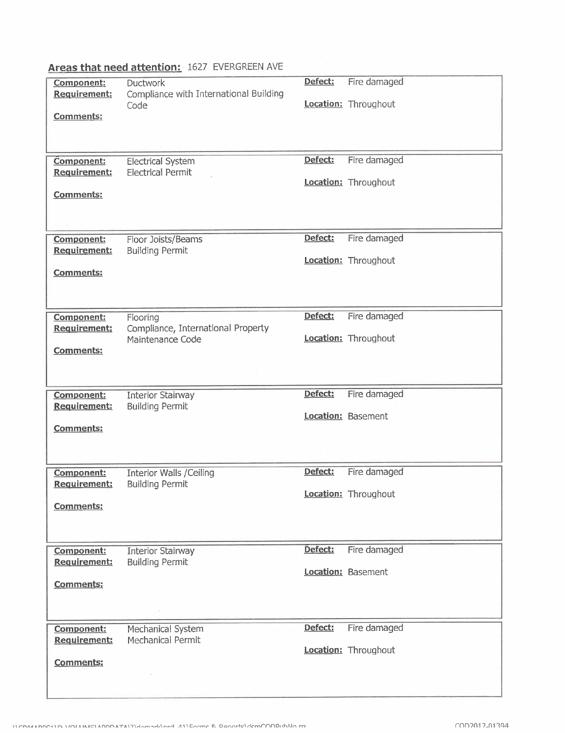| Component:                               | Ductwork                                                  | Defect: | Fire damaged         |
|------------------------------------------|-----------------------------------------------------------|---------|----------------------|
| Requirement:                             | Compliance with International Building<br>Code            |         | Location: Throughout |
| <b>Comments:</b>                         |                                                           |         |                      |
|                                          |                                                           |         |                      |
| Component:                               | <b>Electrical System</b>                                  | Defect: | Fire damaged         |
| <b>Requirement:</b>                      | <b>Electrical Permit</b>                                  |         | Location: Throughout |
| <b>Comments:</b>                         |                                                           |         |                      |
|                                          |                                                           |         |                      |
|                                          |                                                           |         |                      |
| <b>Component:</b>                        | Floor Joists/Beams                                        | Defect: | Fire damaged         |
| <b>Requirement:</b>                      | <b>Building Permit</b>                                    |         | Location: Throughout |
| <b>Comments:</b>                         |                                                           |         |                      |
|                                          |                                                           |         |                      |
|                                          |                                                           |         |                      |
| Component:<br>Requirement:               | Flooring<br>Compliance, International Property            | Defect: | Fire damaged         |
|                                          | Maintenance Code                                          |         | Location: Throughout |
| <b>Comments:</b>                         |                                                           |         |                      |
|                                          |                                                           |         |                      |
|                                          |                                                           | Defect: | Fire damaged         |
| <b>Component:</b>                        |                                                           |         |                      |
|                                          | <b>Interior Stairway</b>                                  |         |                      |
| Requirement:                             | <b>Building Permit</b>                                    |         | Location: Basement   |
| Comments:                                |                                                           |         |                      |
|                                          |                                                           |         |                      |
|                                          |                                                           |         |                      |
| <b>Component:</b><br><b>Requirement:</b> | <b>Interior Walls / Ceiling</b><br><b>Building Permit</b> | Defect: | Fire damaged         |
|                                          |                                                           |         | Location: Throughout |
| <b>Comments:</b>                         |                                                           |         |                      |
|                                          |                                                           |         |                      |
| Component:                               | Interior Stairway                                         | Defect: | Fire damaged         |
| <b>Requirement:</b>                      | <b>Building Permit</b>                                    |         |                      |
| <b>Comments:</b>                         |                                                           |         | Location: Basement   |
|                                          |                                                           |         |                      |
|                                          |                                                           |         |                      |
| <b>Component:</b>                        | Mechanical System                                         | Defect: | Fire damaged         |
| Requirement:                             | Mechanical Permit                                         |         | Location: Throughout |
| <b>Comments:</b>                         |                                                           |         |                      |
|                                          |                                                           |         |                      |

# Areas that need attention: 1627 EVERGREEN AVE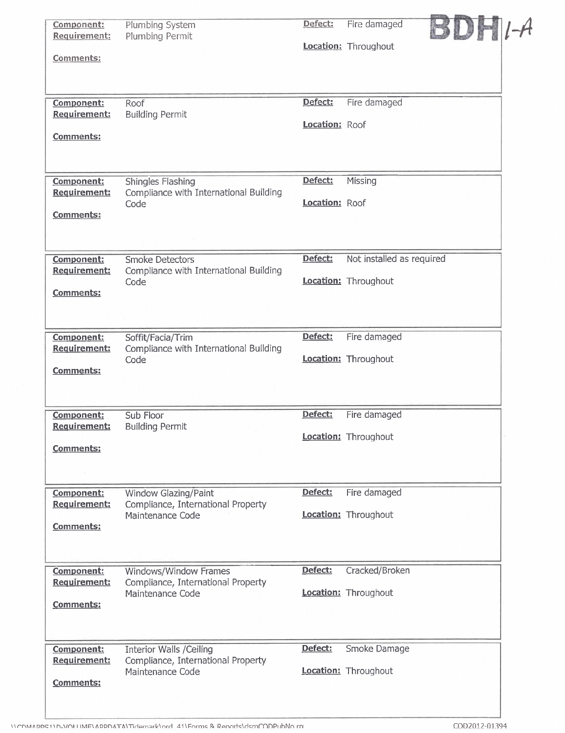| Component:                 | Plumbing System                                            | Defect:        | Fire damaged                |  |
|----------------------------|------------------------------------------------------------|----------------|-----------------------------|--|
| Requirement:               | Plumbing Permit                                            |                |                             |  |
|                            |                                                            |                | Location: Throughout        |  |
| Comments:                  |                                                            |                |                             |  |
|                            |                                                            |                |                             |  |
|                            |                                                            |                |                             |  |
| Component:                 | Roof                                                       | Defect:        | Fire damaged                |  |
| Requirement:               | <b>Building Permit</b>                                     |                |                             |  |
|                            |                                                            | Location: Roof |                             |  |
| <b>Comments:</b>           |                                                            |                |                             |  |
|                            |                                                            |                |                             |  |
|                            |                                                            |                |                             |  |
| Component:                 | Shingles Flashing                                          | Defect:        | Missing                     |  |
| Requirement:               | Compliance with International Building                     |                |                             |  |
|                            | Code                                                       | Location: Roof |                             |  |
| Comments:                  |                                                            |                |                             |  |
|                            |                                                            |                |                             |  |
|                            |                                                            |                |                             |  |
| <b>Component:</b>          | <b>Smoke Detectors</b>                                     | Defect:        | Not installed as required   |  |
| Requirement:               | Compliance with International Building                     |                |                             |  |
|                            | Code                                                       |                | Location: Throughout        |  |
| <b>Comments:</b>           |                                                            |                |                             |  |
|                            |                                                            |                |                             |  |
|                            |                                                            |                |                             |  |
| Component:                 | Soffit/Facia/Trim                                          | Defect:        | Fire damaged                |  |
| Requirement:               | Compliance with International Building                     |                |                             |  |
| <b>Comments:</b>           | Code                                                       |                | Location: Throughout        |  |
|                            |                                                            |                |                             |  |
|                            |                                                            |                |                             |  |
|                            |                                                            |                |                             |  |
| Component:<br>Requirement: | Sub Floor                                                  | Defect:        | Fire damaged                |  |
|                            | <b>Building Permit</b>                                     |                | Location: Throughout        |  |
| <b>Comments:</b>           |                                                            |                |                             |  |
|                            |                                                            |                |                             |  |
|                            |                                                            |                |                             |  |
| Component:                 |                                                            | Defect:        | Fire damaged                |  |
| Requirement:               | Window Glazing/Paint<br>Compliance, International Property |                |                             |  |
|                            | Maintenance Code                                           |                | Location: Throughout        |  |
| Comments:                  |                                                            |                |                             |  |
|                            |                                                            |                |                             |  |
|                            |                                                            |                |                             |  |
| Component:                 | Windows/Window Frames                                      | Defect:        | Cracked/Broken              |  |
| Requirement:               | Compliance, International Property                         |                |                             |  |
|                            | Maintenance Code                                           |                | <b>Location:</b> Throughout |  |
| Comments:                  |                                                            |                |                             |  |
|                            |                                                            |                |                             |  |
|                            |                                                            |                |                             |  |
| Component:                 | <b>Interior Walls /Ceiling</b>                             | Defect:        | Smoke Damage                |  |
| Requirement:               | Compliance, International Property                         |                |                             |  |
|                            | Maintenance Code                                           |                | <b>Location:</b> Throughout |  |
| <b>Comments:</b>           |                                                            |                |                             |  |
|                            |                                                            |                |                             |  |
|                            |                                                            |                |                             |  |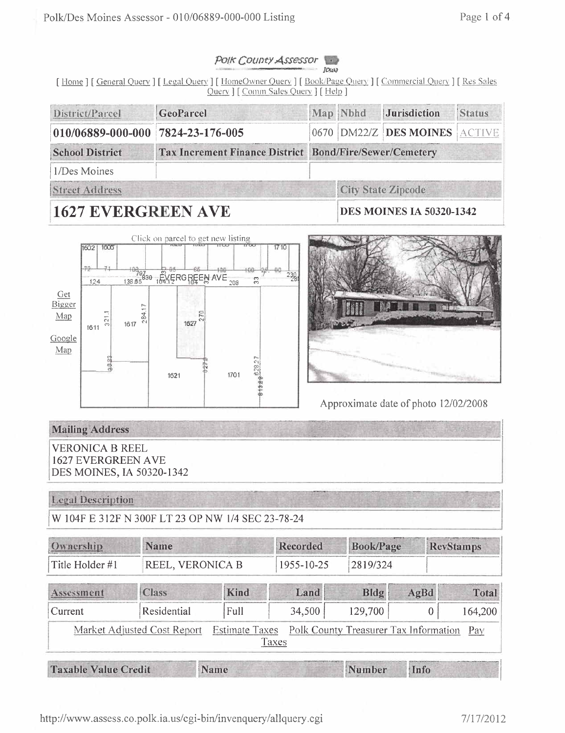#### Polk County Assessor **JOURN**

[Home] [General Query] [Legal Query] [HomeOwner Query] [Book/Page Query] [Commercial Query] [Res Sales Query ] [ Comin Sales Query ] [ Help ]

| District/Parcel                   | GeoParcel                                                      |  | Map Nbhd | <i><u><b>Jurisdiction</b></u></i> | <b>Status</b> |  |
|-----------------------------------|----------------------------------------------------------------|--|----------|-----------------------------------|---------------|--|
| 010/06889-000-000 7824-23-176-005 |                                                                |  |          | 0670 DM22/Z DES MOINES ACTIVE     |               |  |
| <b>School District</b>            | <b>Tax Increment Finance District Bond/Fire/Sewer/Cemetery</b> |  |          |                                   |               |  |
| 1/Des Moines                      |                                                                |  |          |                                   |               |  |
| <b>Street Address</b>             |                                                                |  |          | <b>City State Zipcode</b>         |               |  |
|                                   |                                                                |  |          |                                   |               |  |

# **1627 EVERGREEN AVE**

**DES MOINES IA 50320-1342** 





Approximate date of photo 12/02/2008

## **Mailing Address**

**VERONICA B REEL 1627 EVERGREEN AVE** DES MOINES, IA 50320-1342

### **Legal Description**

W 104F E 312F N 300F LT 23 OP NW 1/4 SEC 23-78-24

| Ownership                   | <b>Name</b>                 |                       | Recorded   | <b>Book/Page</b>                      |      | <b>RevStamps</b> |
|-----------------------------|-----------------------------|-----------------------|------------|---------------------------------------|------|------------------|
| Title Holder #1             | <b>REEL, VERONICA B</b>     |                       | 1955-10-25 | 2819/324                              |      |                  |
| Assessment                  | <b>Class</b>                | Kind                  | Land       | Bldg                                  | AgBd | Total            |
| Current                     | Residential                 | Full                  | 34,500     | 129,700                               | 0    | 164,200          |
|                             | Market Adjusted Cost Report | <b>Estimate Taxes</b> | Taxes      | Polk County Treasurer Tax Information |      | Pay              |
| <b>Taxable Value Credit</b> |                             | Name                  |            | Number                                | Info |                  |

Taxable Value Credit

Name

Number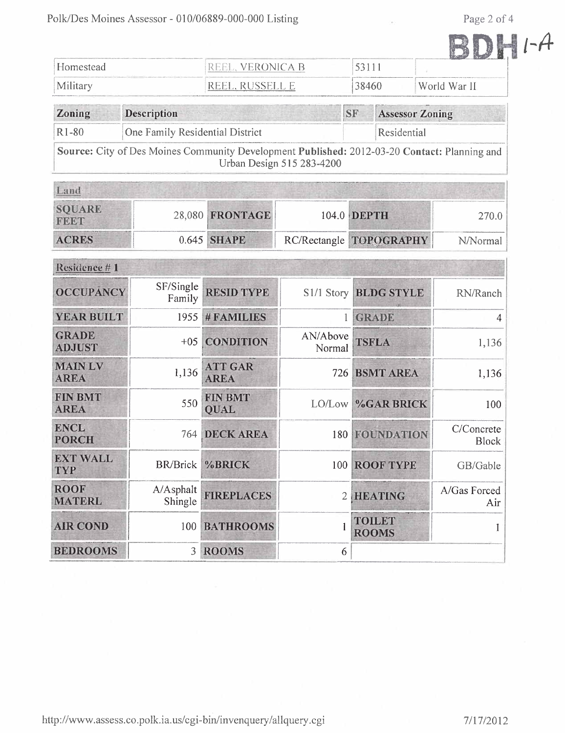Page 2 of 4

|                           | Page 2 of 4 |  |  |
|---------------------------|-------------|--|--|
|                           |             |  |  |
| <b><i>PEANMARKHAM</i></b> |             |  |  |
| World War II              |             |  |  |

| Homestead                                               | VERONICA R<br>1 H H H                     |       |                                           |
|---------------------------------------------------------|-------------------------------------------|-------|-------------------------------------------|
| Military                                                | $\sim$ $\sim$ $\sim$ $\sim$ $\sim$ $\sim$ | 38460 | World War II                              |
| $\mathbf{m}$ . The set of $\mathbf{m}$<br>$\sim$ $\sim$ | $\sim$                                    |       | <b><i>CARDINALS</i></b><br>$\overline{r}$ |

| <b>Zoning</b> | <b>Description</b>                                                                                                               | <b>ISF</b>  | <b>Assessor</b> Zoning |
|---------------|----------------------------------------------------------------------------------------------------------------------------------|-------------|------------------------|
| $R1-80$       | One Family Residential District                                                                                                  | Residential |                        |
|               | <b>Source:</b> City of Des Moines Community Development Published: 2012-03-20 Contact: Planning and<br>Urban Design 515 283-4200 |             |                        |

| <b>SQUARE</b><br>FEET | 28,080 FRONTAGE | 104.0 DEPTH             | 270.0    |
|-----------------------|-----------------|-------------------------|----------|
| <b>ACRES</b>          | 0.645 SHAPE     | RC/Rectangle TOPOGRAPHY | N/Normal |

| Residence #1                  |                      |                               |                    |                               |                            |
|-------------------------------|----------------------|-------------------------------|--------------------|-------------------------------|----------------------------|
| <b>OCCUPANCY</b>              | SF/Single<br>Family  | <b>RESID TYPE</b>             |                    | S1/1 Story BLDG STYLE         | RN/Ranch                   |
| <b>YEAR BUILT</b>             | 1955                 | # FAMILIES                    | 1                  | <b>GRADE</b>                  | 4                          |
| <b>GRADE</b><br><b>ADJUST</b> | $+05$                | <b>CONDITION</b>              | AN/Above<br>Normal | <b>TSFLA</b>                  | 1,136                      |
| <b>MAIN LV</b><br><b>AREA</b> | 1,136                | <b>ATT GAR</b><br><b>AREA</b> | 726                | <b>BSMT AREA</b>              | 1,136                      |
| <b>FIN BMT</b><br><b>AREA</b> | 550                  | <b>FIN BMT</b><br><b>OUAL</b> |                    | LO/Low %GAR BRICK             | 100                        |
| <b>ENCL</b><br><b>PORCH</b>   | 764                  | <b>DECK AREA</b>              |                    | <b>180 FOUNDATION</b>         | C/Concrete<br><b>Block</b> |
| <b>EXT WALL</b><br><b>TYP</b> | <b>BR/Brick</b>      | %BRICK                        | 100                | <b>ROOF TYPE</b>              | GB/Gable                   |
| <b>ROOF</b><br><b>MATERL</b>  | A/Asphalt<br>Shingle | <b>FIREPLACES</b>             | $\overline{2}$     | <b>HEATING</b>                | A/Gas Forced<br>Air        |
| <b>AIR COND</b>               | 100                  | <b>BATHROOMS</b>              |                    | <b>TOILET</b><br><b>ROOMS</b> |                            |
| <b>BEDROOMS</b>               | 3                    | <b>ROOMS</b>                  | 6                  |                               |                            |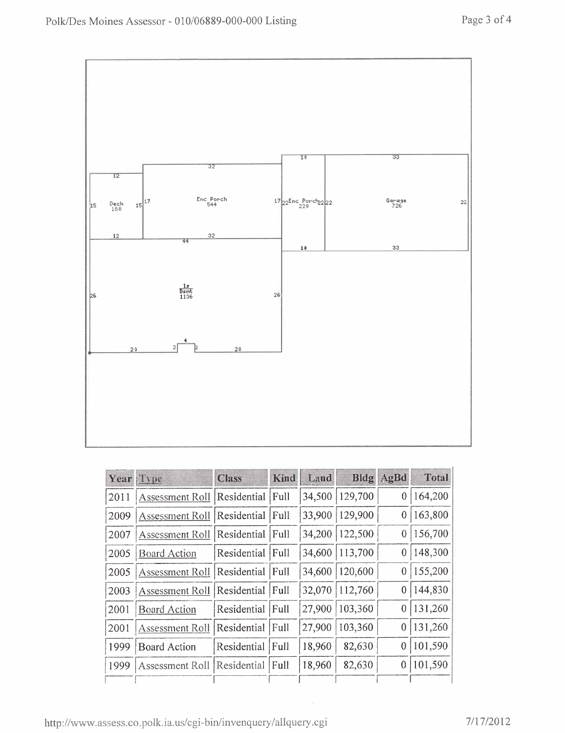

|      | Year Type              | <b>Class</b>     | Kind | Land   |                  | <b>Bldg</b> AgBd | Total   |
|------|------------------------|------------------|------|--------|------------------|------------------|---------|
| 2011 | Assessment Roll        | Residential Full |      | 34,500 | 129,700          | $\boldsymbol{0}$ | 164,200 |
| 2009 | Assessment Roll        | Residential Full |      | 33,900 | 129,900          | $\bf{0}$         | 163,800 |
| 2007 | <b>Assessment Roll</b> | Residential      | Full |        | 34,200   122,500 | $\mathbf{0}$     | 156,700 |
| 2005 | <b>Board Action</b>    | Residential Full |      | 34,600 | 113,700          | $\theta$         | 148,300 |
| 2005 | Assessment Roll        | Residential      | Full | 34,600 | 120,600          | $\overline{0}$   | 155,200 |
| 2003 | <b>Assessment Roll</b> | Residential Full |      | 32,070 | 112,760          | 0                | 144,830 |
| 2001 | <b>Board Action</b>    | Residential      | Full | 27,900 | 103,360          | $\bf{0}$         | 131,260 |
| 2001 | Assessment Roll        | Residential      | Full | 27,900 | 103,360          | 0                | 131,260 |
| 1999 | <b>Board Action</b>    | Residential Full |      | 18,960 | 82,630           | 0                | 101,590 |
| 1999 | Assessment Roll        | Residential      | Full | 18,960 | 82,630           | 0                | 101,590 |
|      |                        |                  |      |        |                  |                  |         |

http://www.assess.co.polk.ia.us/cgi-bin/invenquery/allquery.cgi 7/17/2012